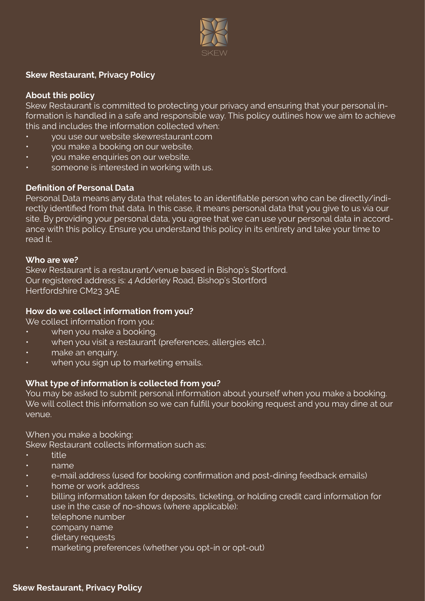

# **Skew Restaurant, Privacy Policy**

# **About this policy**

Skew Restaurant is committed to protecting your privacy and ensuring that your personal information is handled in a safe and responsible way. This policy outlines how we aim to achieve this and includes the information collected when:

- you use our website skewrestaurant.com
- you make a booking on our website.
- you make enquiries on our website.
- someone is interested in working with us.

### **Definition of Personal Data**

Personal Data means any data that relates to an identifiable person who can be directly/indirectly identified from that data. In this case, it means personal data that you give to us via our site. By providing your personal data, you agree that we can use your personal data in accordance with this policy. Ensure you understand this policy in its entirety and take your time to read it.

#### **Who are we?**

Skew Restaurant is a restaurant/venue based in Bishop's Stortford. Our registered address is: 4 Adderley Road, Bishop's Stortford Hertfordshire CM23 3AE

#### **How do we collect information from you?**

We collect information from you:

- when you make a booking.
- when you visit a restaurant (preferences, allergies etc.).
- make an enquiry.
- when you sign up to marketing emails.

# **What type of information is collected from you?**

You may be asked to submit personal information about yourself when you make a booking. We will collect this information so we can fulfill your booking request and you may dine at our venue.

When you make a booking:

Skew Restaurant collects information such as:

- title
- name
- e-mail address (used for booking confirmation and post-dining feedback emails)
- home or work address
- billing information taken for deposits, ticketing, or holding credit card information for use in the case of no-shows (where applicable):
- telephone number
- company name
- dietary requests
- marketing preferences (whether you opt-in or opt-out)

#### **Skew Restaurant, Privacy Policy**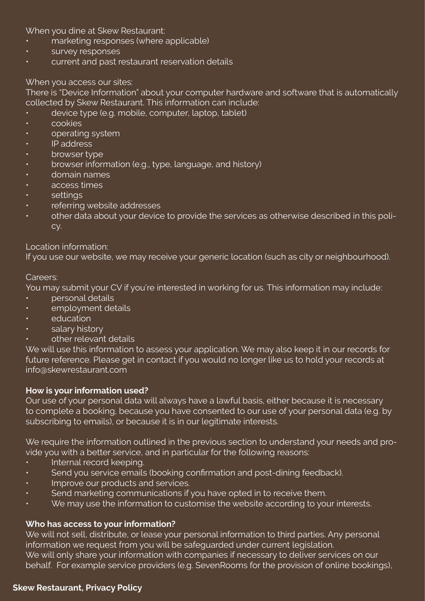When you dine at Skew Restaurant:

- marketing responses (where applicable)
- survey responses
- current and past restaurant reservation details

### When you access our sites:

There is "Device Information" about your computer hardware and software that is automatically collected by Skew Restaurant. This information can include:

- device type (e.g. mobile, computer, laptop, tablet)
- cookies
- operating system
- IP address
- browser type
- browser information (e.g., type, language, and history)
- domain names
- access times
- settings
- referring website addresses
- other data about your device to provide the services as otherwise described in this policy.

### Location information:

If you use our website, we may receive your generic location (such as city or neighbourhood).

#### Careers:

You may submit your CV if you're interested in working for us. This information may include:

- personal details
- employment details
- **education**
- salary history
- other relevant details

We will use this information to assess your application. We may also keep it in our records for future reference. Please get in contact if you would no longer like us to hold your records at info@skewrestaurant.com

#### **How is your information used?**

Our use of your personal data will always have a lawful basis, either because it is necessary to complete a booking, because you have consented to our use of your personal data (e.g. by subscribing to emails), or because it is in our legitimate interests.

We require the information outlined in the previous section to understand your needs and provide you with a better service, and in particular for the following reasons:

- Internal record keeping.
- Send you service emails (booking confirmation and post-dining feedback).
- Improve our products and services.
- Send marketing communications if you have opted in to receive them.
- We may use the information to customise the website according to your interests.

# **Who has access to your information?**

We will not sell, distribute, or lease your personal information to third parties. Any personal information we request from you will be safeguarded under current legislation. We will only share your information with companies if necessary to deliver services on our behalf. For example service providers (e.g. SevenRooms for the provision of online bookings),

#### **Skew Restaurant, Privacy Policy**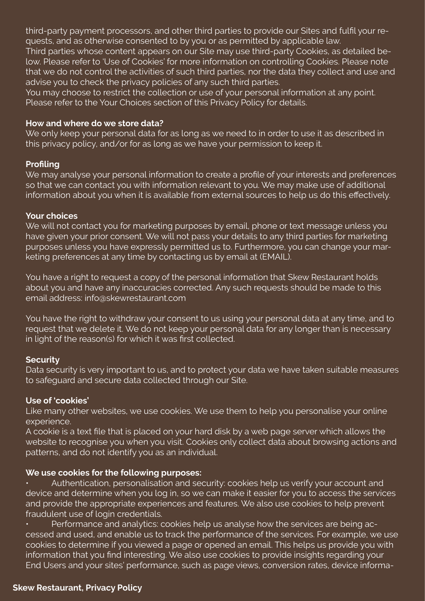third-party payment processors, and other third parties to provide our Sites and fulfil your requests, and as otherwise consented to by you or as permitted by applicable law. Third parties whose content appears on our Site may use third-party Cookies, as detailed below. Please refer to 'Use of Cookies' for more information on controlling Cookies. Please note that we do not control the activities of such third parties, nor the data they collect and use and advise you to check the privacy policies of any such third parties.

You may choose to restrict the collection or use of your personal information at any point. Please refer to the Your Choices section of this Privacy Policy for details.

#### **How and where do we store data?**

We only keep your personal data for as long as we need to in order to use it as described in this privacy policy, and/or for as long as we have your permission to keep it.

# **Profiling**

We may analyse your personal information to create a profile of your interests and preferences so that we can contact you with information relevant to you. We may make use of additional information about you when it is available from external sources to help us do this effectively.

### **Your choices**

We will not contact you for marketing purposes by email, phone or text message unless you have given your prior consent. We will not pass your details to any third parties for marketing purposes unless you have expressly permitted us to. Furthermore, you can change your marketing preferences at any time by contacting us by email at (EMAIL).

You have a right to request a copy of the personal information that Skew Restaurant holds about you and have any inaccuracies corrected. Any such requests should be made to this email address: info@skewrestaurant.com

You have the right to withdraw your consent to us using your personal data at any time, and to request that we delete it. We do not keep your personal data for any longer than is necessary in light of the reason(s) for which it was first collected.

# **Security**

Data security is very important to us, and to protect your data we have taken suitable measures to safeguard and secure data collected through our Site.

# **Use of 'cookies'**

Like many other websites, we use cookies. We use them to help you personalise your online experience.

A cookie is a text file that is placed on your hard disk by a web page server which allows the website to recognise you when you visit. Cookies only collect data about browsing actions and patterns, and do not identify you as an individual.

# **We use cookies for the following purposes:**

• Authentication, personalisation and security: cookies help us verify your account and device and determine when you log in, so we can make it easier for you to access the services and provide the appropriate experiences and features. We also use cookies to help prevent fraudulent use of login credentials.

• Performance and analytics: cookies help us analyse how the services are being accessed and used, and enable us to track the performance of the services. For example, we use cookies to determine if you viewed a page or opened an email. This helps us provide you with information that you find interesting. We also use cookies to provide insights regarding your End Users and your sites' performance, such as page views, conversion rates, device informa-

#### **Skew Restaurant, Privacy Policy**